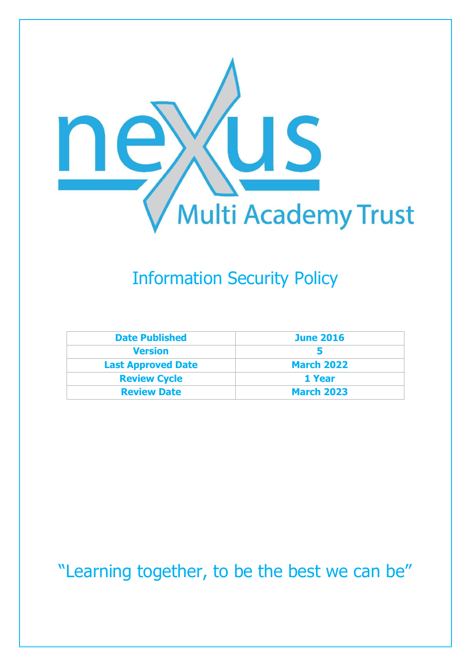

# Information Security Policy

| <b>Date Published</b>     | <b>June 2016</b>  |
|---------------------------|-------------------|
| <b>Version</b>            |                   |
| <b>Last Approved Date</b> | <b>March 2022</b> |
| <b>Review Cycle</b>       | 1 Year            |
| <b>Review Date</b>        | <b>March 2023</b> |

"Learning together, to be the best we can be"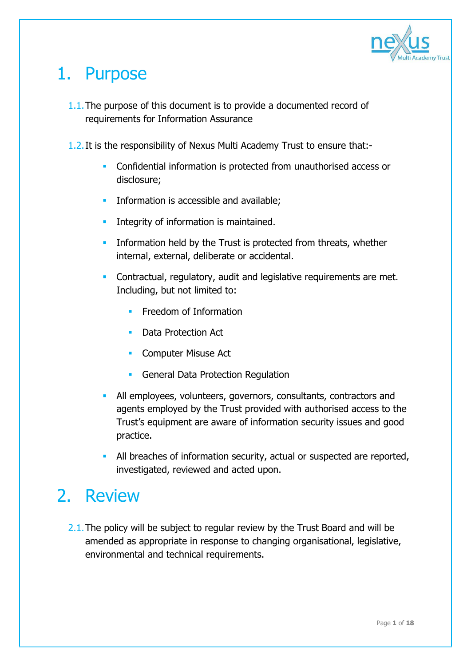

# 1. Purpose

- 1.1.The purpose of this document is to provide a documented record of requirements for Information Assurance
- 1.2.It is the responsibility of Nexus Multi Academy Trust to ensure that:-
	- Confidential information is protected from unauthorised access or disclosure;
	- **Information is accessible and available;**
	- **Integrity of information is maintained.**
	- **Information held by the Trust is protected from threats, whether** internal, external, deliberate or accidental.
	- **Contractual, regulatory, audit and legislative requirements are met.** Including, but not limited to:
		- Freedom of Information
		- Data Protection Act
		- **Computer Misuse Act**
		- **General Data Protection Regulation**
	- All employees, volunteers, governors, consultants, contractors and agents employed by the Trust provided with authorised access to the Trust's equipment are aware of information security issues and good practice.
	- All breaches of information security, actual or suspected are reported, investigated, reviewed and acted upon.

### 2. Review

2.1. The policy will be subject to regular review by the Trust Board and will be amended as appropriate in response to changing organisational, legislative, environmental and technical requirements.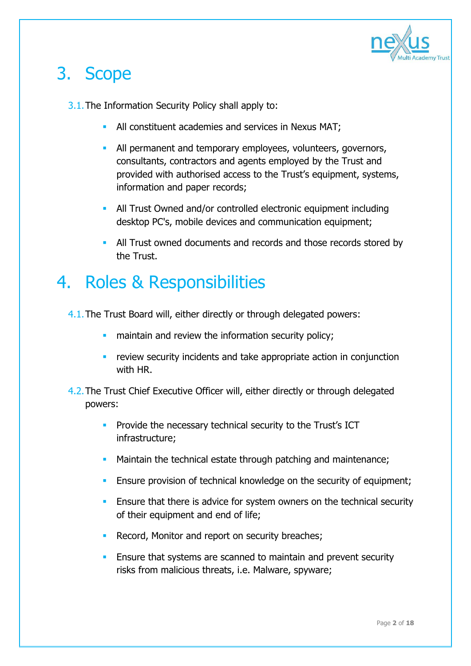

# 3. Scope

- 3.1.The Information Security Policy shall apply to:
	- **All constituent academies and services in Nexus MAT;**
	- All permanent and temporary employees, volunteers, governors, consultants, contractors and agents employed by the Trust and provided with authorised access to the Trust's equipment, systems, information and paper records;
	- All Trust Owned and/or controlled electronic equipment including desktop PC's, mobile devices and communication equipment;
	- All Trust owned documents and records and those records stored by the Trust.

### 4. Roles & Responsibilities

- 4.1.The Trust Board will, either directly or through delegated powers:
	- maintain and review the information security policy;
	- **•** review security incidents and take appropriate action in conjunction with HR
- 4.2.The Trust Chief Executive Officer will, either directly or through delegated powers:
	- **Provide the necessary technical security to the Trust's ICT** infrastructure;
	- **Maintain the technical estate through patching and maintenance;**
	- **Ensure provision of technical knowledge on the security of equipment;**
	- **Ensure that there is advice for system owners on the technical security** of their equipment and end of life;
	- Record, Monitor and report on security breaches;
	- **Ensure that systems are scanned to maintain and prevent security** risks from malicious threats, i.e. Malware, spyware;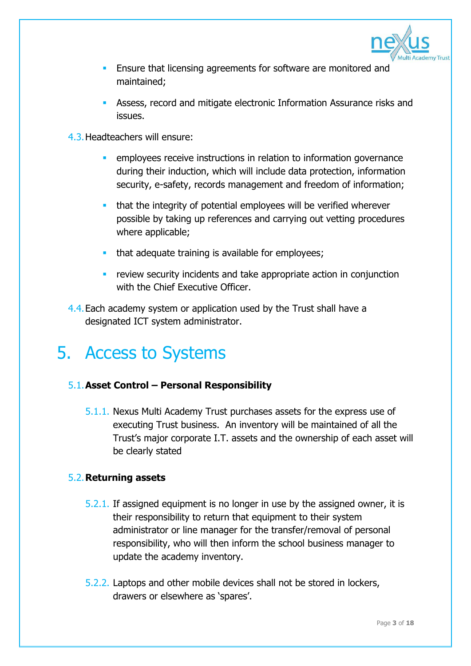

- Ensure that licensing agreements for software are monitored and maintained;
- Assess, record and mitigate electronic Information Assurance risks and issues.
- 4.3.Headteachers will ensure:
	- **EXECTED EMPLOYER EXECTED FEEDER** employees receive instructions in relation to information governance during their induction, which will include data protection, information security, e-safety, records management and freedom of information;
	- that the integrity of potential employees will be verified wherever possible by taking up references and carrying out vetting procedures where applicable;
	- **that adequate training is available for employees;**
	- **F** review security incidents and take appropriate action in conjunction with the Chief Executive Officer.
- 4.4.Each academy system or application used by the Trust shall have a designated ICT system administrator.

### 5. Access to Systems

### 5.1.**Asset Control – Personal Responsibility**

5.1.1. Nexus Multi Academy Trust purchases assets for the express use of executing Trust business. An inventory will be maintained of all the Trust's major corporate I.T. assets and the ownership of each asset will be clearly stated

### 5.2.**Returning assets**

- 5.2.1. If assigned equipment is no longer in use by the assigned owner, it is their responsibility to return that equipment to their system administrator or line manager for the transfer/removal of personal responsibility, who will then inform the school business manager to update the academy inventory.
- 5.2.2. Laptops and other mobile devices shall not be stored in lockers, drawers or elsewhere as 'spares'.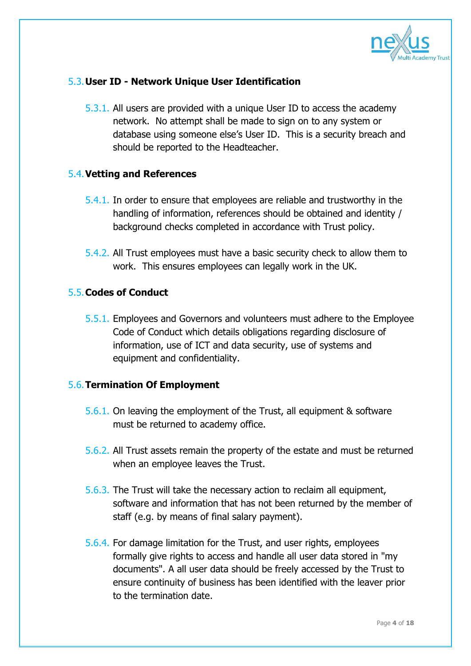

### 5.3.**User ID - Network Unique User Identification**

5.3.1. All users are provided with a unique User ID to access the academy network. No attempt shall be made to sign on to any system or database using someone else's User ID. This is a security breach and should be reported to the Headteacher.

### 5.4.**Vetting and References**

- 5.4.1. In order to ensure that employees are reliable and trustworthy in the handling of information, references should be obtained and identity / background checks completed in accordance with Trust policy.
- 5.4.2. All Trust employees must have a basic security check to allow them to work. This ensures employees can legally work in the UK.

### 5.5.**Codes of Conduct**

5.5.1. Employees and Governors and volunteers must adhere to the Employee Code of Conduct which details obligations regarding disclosure of information, use of ICT and data security, use of systems and equipment and confidentiality.

### 5.6.**Termination Of Employment**

- 5.6.1. On leaving the employment of the Trust, all equipment & software must be returned to academy office.
- 5.6.2. All Trust assets remain the property of the estate and must be returned when an employee leaves the Trust.
- 5.6.3. The Trust will take the necessary action to reclaim all equipment, software and information that has not been returned by the member of staff (e.g. by means of final salary payment).
- 5.6.4. For damage limitation for the Trust, and user rights, employees formally give rights to access and handle all user data stored in "my documents". A all user data should be freely accessed by the Trust to ensure continuity of business has been identified with the leaver prior to the termination date.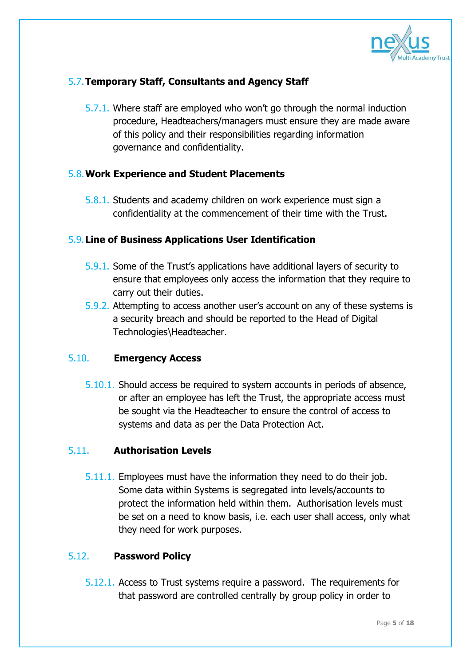

### 5.7.**Temporary Staff, Consultants and Agency Staff**

5.7.1. Where staff are employed who won't go through the normal induction procedure, Headteachers/managers must ensure they are made aware of this policy and their responsibilities regarding information governance and confidentiality.

### 5.8.**Work Experience and Student Placements**

5.8.1. Students and academy children on work experience must sign a confidentiality at the commencement of their time with the Trust.

### 5.9.**Line of Business Applications User Identification**

- 5.9.1. Some of the Trust's applications have additional layers of security to ensure that employees only access the information that they require to carry out their duties.
- 5.9.2. Attempting to access another user's account on any of these systems is a security breach and should be reported to the Head of Digital Technologies\Headteacher.

### 5.10. **Emergency Access**

5.10.1. Should access be required to system accounts in periods of absence, or after an employee has left the Trust, the appropriate access must be sought via the Headteacher to ensure the control of access to systems and data as per the Data Protection Act.

### 5.11. **Authorisation Levels**

5.11.1. Employees must have the information they need to do their job. Some data within Systems is segregated into levels/accounts to protect the information held within them. Authorisation levels must be set on a need to know basis, i.e. each user shall access, only what they need for work purposes.

### 5.12. **Password Policy**

5.12.1. Access to Trust systems require a password. The requirements for that password are controlled centrally by group policy in order to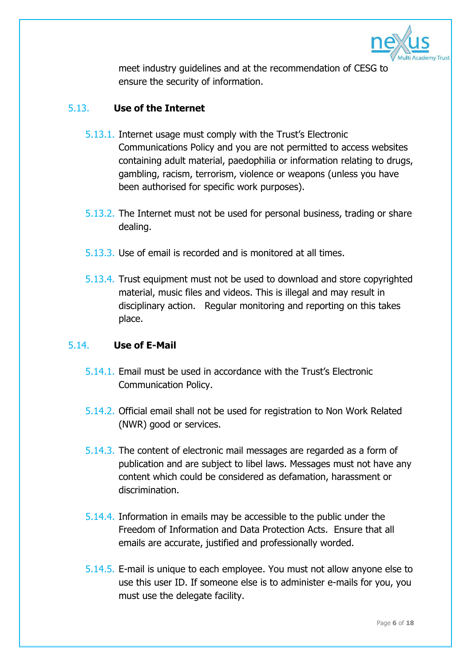

meet industry guidelines and at the recommendation of CESG to ensure the security of information.

### 5.13. **Use of the Internet**

- 5.13.1. Internet usage must comply with the Trust's Electronic Communications Policy and you are not permitted to access websites containing adult material, paedophilia or information relating to drugs, gambling, racism, terrorism, violence or weapons (unless you have been authorised for specific work purposes).
- 5.13.2. The Internet must not be used for personal business, trading or share dealing.
- 5.13.3. Use of email is recorded and is monitored at all times.
- 5.13.4. Trust equipment must not be used to download and store copyrighted material, music files and videos. This is illegal and may result in disciplinary action. Regular monitoring and reporting on this takes place.

### 5.14. **Use of E-Mail**

- 5.14.1. Email must be used in accordance with the Trust's Electronic Communication Policy.
- 5.14.2. Official email shall not be used for registration to Non Work Related (NWR) good or services.
- 5.14.3. The content of electronic mail messages are regarded as a form of publication and are subject to libel laws. Messages must not have any content which could be considered as defamation, harassment or discrimination.
- 5.14.4. Information in emails may be accessible to the public under the Freedom of Information and Data Protection Acts. Ensure that all emails are accurate, justified and professionally worded.
- 5.14.5. E-mail is unique to each employee. You must not allow anyone else to use this user ID. If someone else is to administer e-mails for you, you must use the delegate facility.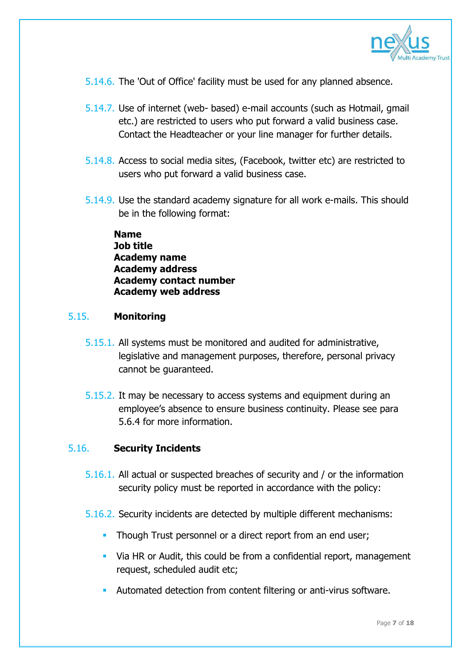

- 5.14.6. The 'Out of Office' facility must be used for any planned absence.
- 5.14.7. Use of internet (web- based) e-mail accounts (such as Hotmail, gmail etc.) are restricted to users who put forward a valid business case. Contact the Headteacher or your line manager for further details.
- 5.14.8. Access to social media sites, (Facebook, twitter etc) are restricted to users who put forward a valid business case.
- 5.14.9. Use the standard academy signature for all work e-mails. This should be in the following format:

**Name Job title Academy name Academy address Academy contact number Academy web address**

### 5.15. **Monitoring**

- 5.15.1. All systems must be monitored and audited for administrative, legislative and management purposes, therefore, personal privacy cannot be guaranteed.
- 5.15.2. It may be necessary to access systems and equipment during an employee's absence to ensure business continuity. Please see para 5.6.4 for more information.

### 5.16. **Security Incidents**

- 5.16.1. All actual or suspected breaches of security and / or the information security policy must be reported in accordance with the policy:
- 5.16.2. Security incidents are detected by multiple different mechanisms:
	- **Though Trust personnel or a direct report from an end user;**
	- Via HR or Audit, this could be from a confidential report, management request, scheduled audit etc;
	- Automated detection from content filtering or anti-virus software.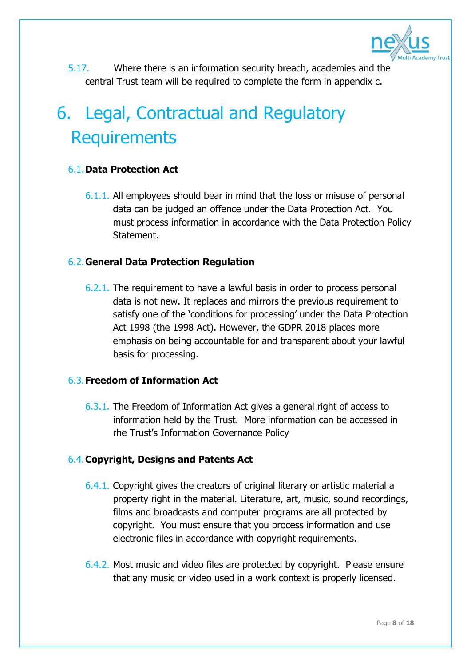

5.17. Where there is an information security breach, academies and the central Trust team will be required to complete the form in appendix c.

# 6. Legal, Contractual and Regulatory **Requirements**

### 6.1.**Data Protection Act**

6.1.1. All employees should bear in mind that the loss or misuse of personal data can be judged an offence under the Data Protection Act. You must process information in accordance with the Data Protection Policy Statement.

### 6.2.**General Data Protection Regulation**

6.2.1. The requirement to have a lawful basis in order to process personal data is not new. It replaces and mirrors the previous requirement to satisfy one of the 'conditions for processing' under the Data Protection Act 1998 (the 1998 Act). However, the GDPR 2018 places more emphasis on being accountable for and transparent about your lawful basis for processing.

### 6.3.**Freedom of Information Act**

6.3.1. The Freedom of Information Act gives a general right of access to information held by the Trust. More information can be accessed in rhe Trust's Information Governance Policy

### 6.4.**Copyright, Designs and Patents Act**

- 6.4.1. Copyright gives the creators of original literary or artistic material a property right in the material. Literature, art, music, sound recordings, films and broadcasts and computer programs are all protected by copyright. You must ensure that you process information and use electronic files in accordance with copyright requirements.
- 6.4.2. Most music and video files are protected by copyright. Please ensure that any music or video used in a work context is properly licensed.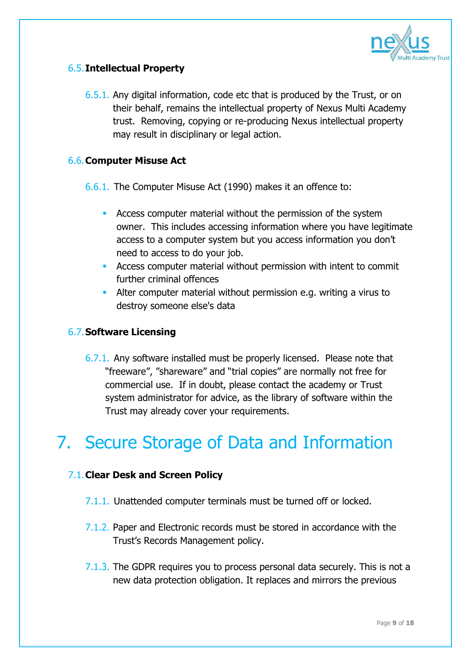

### 6.5.**Intellectual Property**

6.5.1. Any digital information, code etc that is produced by the Trust, or on their behalf, remains the intellectual property of Nexus Multi Academy trust. Removing, copying or re-producing Nexus intellectual property may result in disciplinary or legal action.

### 6.6.**Computer Misuse Act**

6.6.1. The Computer Misuse Act (1990) makes it an offence to:

- Access computer material without the permission of the system owner. This includes accessing information where you have legitimate access to a computer system but you access information you don't need to access to do your job.
- Access computer material without permission with intent to commit further criminal offences
- Alter computer material without permission e.g. writing a virus to destroy someone else's data

### 6.7.**Software Licensing**

6.7.1. Any software installed must be properly licensed. Please note that "freeware", "shareware" and "trial copies" are normally not free for commercial use. If in doubt, please contact the academy or Trust system administrator for advice, as the library of software within the Trust may already cover your requirements.

# 7. Secure Storage of Data and Information

### 7.1.**Clear Desk and Screen Policy**

- 7.1.1. Unattended computer terminals must be turned off or locked.
- 7.1.2. Paper and Electronic records must be stored in accordance with the Trust's Records Management policy.
- 7.1.3. The GDPR requires you to process personal data securely. This is not a new data protection obligation. It replaces and mirrors the previous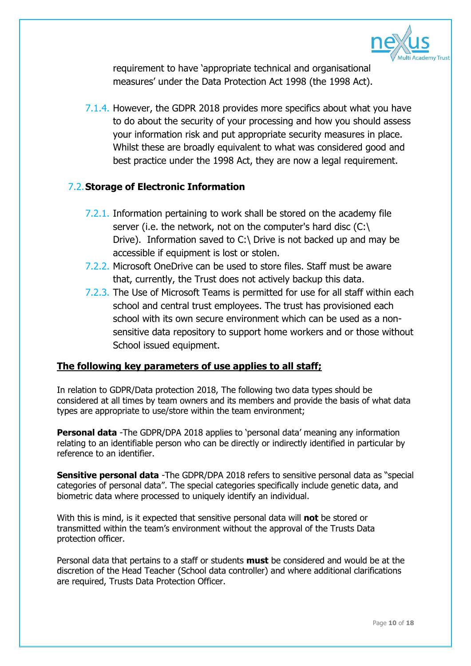

requirement to have 'appropriate technical and organisational measures' under the Data Protection Act 1998 (the 1998 Act).

7.1.4. However, the GDPR 2018 provides more specifics about what you have to do about the security of your processing and how you should assess your information risk and put appropriate security measures in place. Whilst these are broadly equivalent to what was considered good and best practice under the 1998 Act, they are now a legal requirement.

### 7.2.**Storage of Electronic Information**

- 7.2.1. Information pertaining to work shall be stored on the academy file server (i.e. the network, not on the computer's hard disc  $(C:\)$ Drive). Information saved to C:\ Drive is not backed up and may be accessible if equipment is lost or stolen.
- 7.2.2. Microsoft OneDrive can be used to store files. Staff must be aware that, currently, the Trust does not actively backup this data.
- 7.2.3. The Use of Microsoft Teams is permitted for use for all staff within each school and central trust employees. The trust has provisioned each school with its own secure environment which can be used as a nonsensitive data repository to support home workers and or those without School issued equipment.

### **The following key parameters of use applies to all staff;**

In relation to GDPR/Data protection 2018, The following two data types should be considered at all times by team owners and its members and provide the basis of what data types are appropriate to use/store within the team environment;

**Personal data** -The GDPR/DPA 2018 applies to 'personal data' meaning any information relating to an identifiable person who can be directly or indirectly identified in particular by reference to an identifier.

**Sensitive personal data** -The GDPR/DPA 2018 refers to sensitive personal data as "special categories of personal data". The special categories specifically include genetic data, and biometric data where processed to uniquely identify an individual.

With this is mind, is it expected that sensitive personal data will **not** be stored or transmitted within the team's environment without the approval of the Trusts Data protection officer.

Personal data that pertains to a staff or students **must** be considered and would be at the discretion of the Head Teacher (School data controller) and where additional clarifications are required, Trusts Data Protection Officer.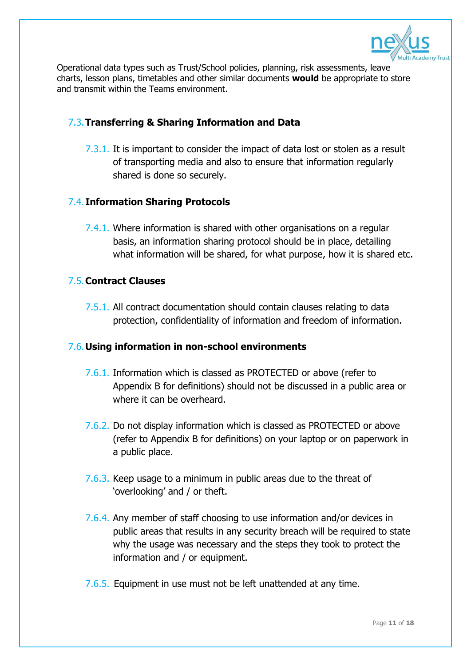

Operational data types such as Trust/School policies, planning, risk assessments, leave charts, lesson plans, timetables and other similar documents **would** be appropriate to store and transmit within the Teams environment.

### 7.3.**Transferring & Sharing Information and Data**

7.3.1. It is important to consider the impact of data lost or stolen as a result of transporting media and also to ensure that information regularly shared is done so securely.

### 7.4.**Information Sharing Protocols**

7.4.1. Where information is shared with other organisations on a regular basis, an information sharing protocol should be in place, detailing what information will be shared, for what purpose, how it is shared etc.

### 7.5.**Contract Clauses**

7.5.1. All contract documentation should contain clauses relating to data protection, confidentiality of information and freedom of information.

### 7.6.**Using information in non-school environments**

- 7.6.1. Information which is classed as PROTECTED or above (refer to Appendix B for definitions) should not be discussed in a public area or where it can be overheard.
- 7.6.2. Do not display information which is classed as PROTECTED or above (refer to Appendix B for definitions) on your laptop or on paperwork in a public place.
- 7.6.3. Keep usage to a minimum in public areas due to the threat of 'overlooking' and / or theft.
- 7.6.4. Any member of staff choosing to use information and/or devices in public areas that results in any security breach will be required to state why the usage was necessary and the steps they took to protect the information and / or equipment.
- 7.6.5. Equipment in use must not be left unattended at any time.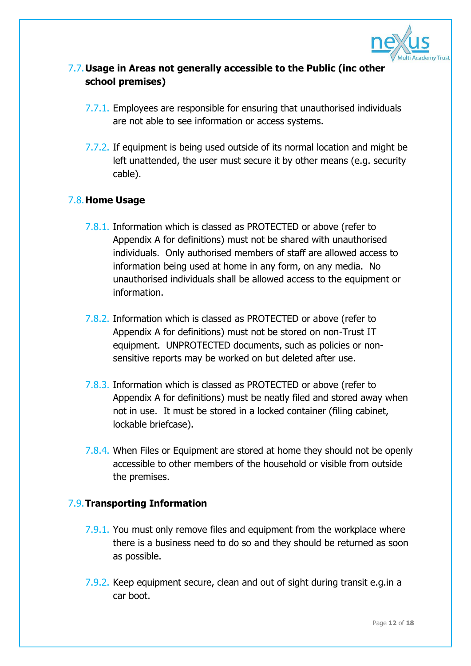

### 7.7.**Usage in Areas not generally accessible to the Public (inc other school premises)**

- 7.7.1. Employees are responsible for ensuring that unauthorised individuals are not able to see information or access systems.
- 7.7.2. If equipment is being used outside of its normal location and might be left unattended, the user must secure it by other means (e.g. security cable).

### 7.8.**Home Usage**

- 7.8.1. Information which is classed as PROTECTED or above (refer to Appendix A for definitions) must not be shared with unauthorised individuals. Only authorised members of staff are allowed access to information being used at home in any form, on any media. No unauthorised individuals shall be allowed access to the equipment or information.
- 7.8.2. Information which is classed as PROTECTED or above (refer to Appendix A for definitions) must not be stored on non-Trust IT equipment. UNPROTECTED documents, such as policies or nonsensitive reports may be worked on but deleted after use.
- 7.8.3. Information which is classed as PROTECTED or above (refer to Appendix A for definitions) must be neatly filed and stored away when not in use. It must be stored in a locked container (filing cabinet, lockable briefcase).
- 7.8.4. When Files or Equipment are stored at home they should not be openly accessible to other members of the household or visible from outside the premises.

### 7.9.**Transporting Information**

- 7.9.1. You must only remove files and equipment from the workplace where there is a business need to do so and they should be returned as soon as possible.
- 7.9.2. Keep equipment secure, clean and out of sight during transit e.g.in a car boot.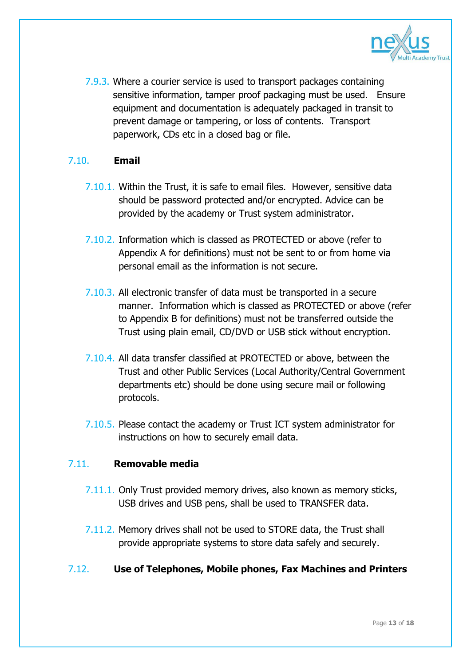

7.9.3. Where a courier service is used to transport packages containing sensitive information, tamper proof packaging must be used. Ensure equipment and documentation is adequately packaged in transit to prevent damage or tampering, or loss of contents. Transport paperwork, CDs etc in a closed bag or file.

### 7.10. **Email**

- 7.10.1. Within the Trust, it is safe to email files. However, sensitive data should be password protected and/or encrypted. Advice can be provided by the academy or Trust system administrator.
- 7.10.2. Information which is classed as PROTECTED or above (refer to Appendix A for definitions) must not be sent to or from home via personal email as the information is not secure.
- 7.10.3. All electronic transfer of data must be transported in a secure manner. Information which is classed as PROTECTED or above (refer to Appendix B for definitions) must not be transferred outside the Trust using plain email, CD/DVD or USB stick without encryption.
- 7.10.4. All data transfer classified at PROTECTED or above, between the Trust and other Public Services (Local Authority/Central Government departments etc) should be done using secure mail or following protocols.
- 7.10.5. Please contact the academy or Trust ICT system administrator for instructions on how to securely email data.

### 7.11. **Removable media**

- 7.11.1. Only Trust provided memory drives, also known as memory sticks, USB drives and USB pens, shall be used to TRANSFER data.
- 7.11.2. Memory drives shall not be used to STORE data, the Trust shall provide appropriate systems to store data safely and securely.
- 7.12. **Use of Telephones, Mobile phones, Fax Machines and Printers**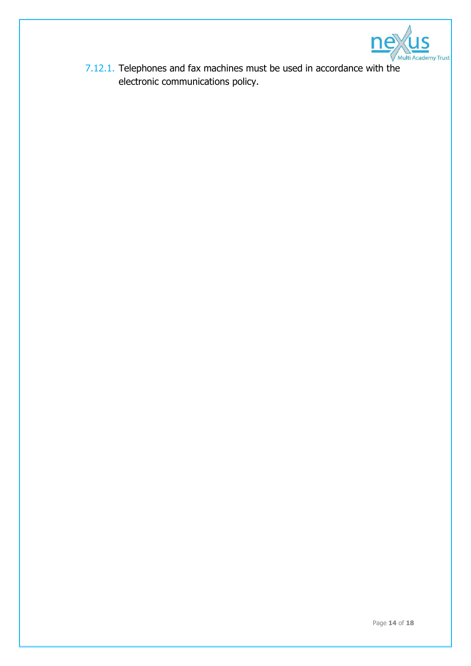

7.12.1. Telephones and fax machines must be used in accordance with the electronic communications policy.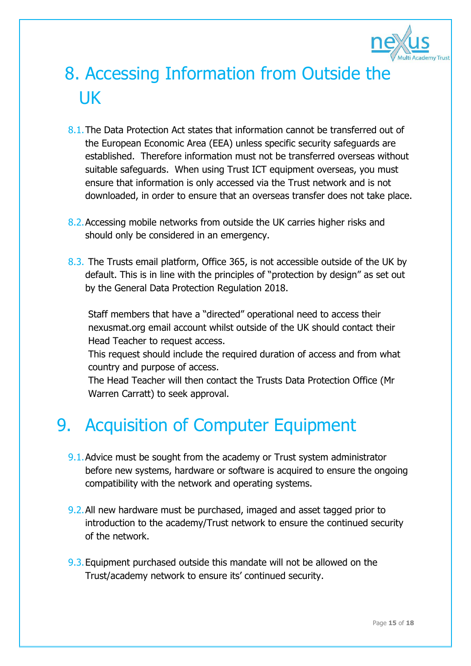

# 8. Accessing Information from Outside the UK

- 8.1.The Data Protection Act states that information cannot be transferred out of the European Economic Area (EEA) unless specific security safeguards are established. Therefore information must not be transferred overseas without suitable safeguards. When using Trust ICT equipment overseas, you must ensure that information is only accessed via the Trust network and is not downloaded, in order to ensure that an overseas transfer does not take place.
- 8.2.Accessing mobile networks from outside the UK carries higher risks and should only be considered in an emergency.
- 8.3. The Trusts email platform, Office 365, is not accessible outside of the UK by default. This is in line with the principles of "protection by design" as set out by the General Data Protection Regulation 2018.

Staff members that have a "directed" operational need to access their nexusmat.org email account whilst outside of the UK should contact their Head Teacher to request access.

This request should include the required duration of access and from what country and purpose of access.

The Head Teacher will then contact the Trusts Data Protection Office (Mr Warren Carratt) to seek approval.

# 9. Acquisition of Computer Equipment

- 9.1.Advice must be sought from the academy or Trust system administrator before new systems, hardware or software is acquired to ensure the ongoing compatibility with the network and operating systems.
- 9.2.All new hardware must be purchased, imaged and asset tagged prior to introduction to the academy/Trust network to ensure the continued security of the network.
- 9.3.Equipment purchased outside this mandate will not be allowed on the Trust/academy network to ensure its' continued security.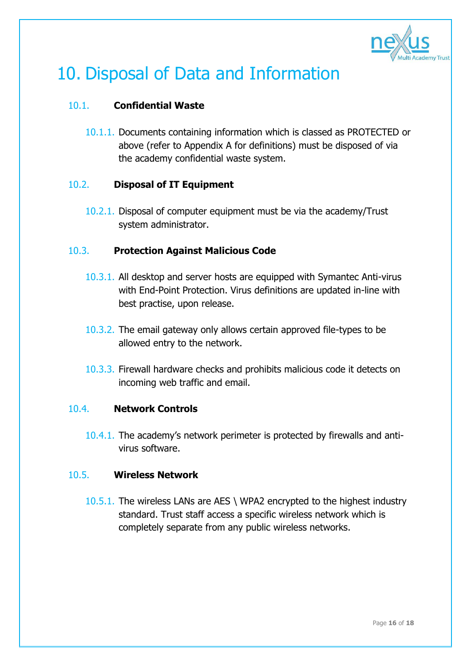

# 10. Disposal of Data and Information

### 10.1. **Confidential Waste**

10.1.1. Documents containing information which is classed as PROTECTED or above (refer to Appendix A for definitions) must be disposed of via the academy confidential waste system.

### 10.2. **Disposal of IT Equipment**

10.2.1. Disposal of computer equipment must be via the academy/Trust system administrator.

### 10.3. **Protection Against Malicious Code**

- 10.3.1. All desktop and server hosts are equipped with Symantec Anti-virus with End-Point Protection. Virus definitions are updated in-line with best practise, upon release.
- 10.3.2. The email gateway only allows certain approved file-types to be allowed entry to the network.
- 10.3.3. Firewall hardware checks and prohibits malicious code it detects on incoming web traffic and email.

### 10.4. **Network Controls**

10.4.1. The academy's network perimeter is protected by firewalls and antivirus software.

### 10.5. **Wireless Network**

10.5.1. The wireless LANs are AES \ WPA2 encrypted to the highest industry standard. Trust staff access a specific wireless network which is completely separate from any public wireless networks.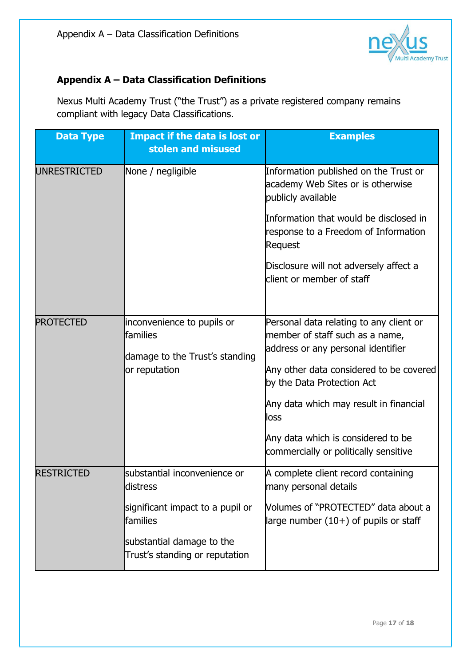

### **Appendix A – Data Classification Definitions**

Nexus Multi Academy Trust ("the Trust") as a private registered company remains compliant with legacy Data Classifications.

| <b>Data Type</b>    | <b>Impact if the data is lost or</b><br>stolen and misused                                | <b>Examples</b>                                                                                                                                                                                                                                                                                                            |
|---------------------|-------------------------------------------------------------------------------------------|----------------------------------------------------------------------------------------------------------------------------------------------------------------------------------------------------------------------------------------------------------------------------------------------------------------------------|
| <b>UNRESTRICTED</b> | None / negligible                                                                         | Information published on the Trust or<br>academy Web Sites or is otherwise<br>publicly available                                                                                                                                                                                                                           |
|                     |                                                                                           | Information that would be disclosed in<br>response to a Freedom of Information<br>Request                                                                                                                                                                                                                                  |
|                     |                                                                                           | Disclosure will not adversely affect a<br>client or member of staff                                                                                                                                                                                                                                                        |
| <b>PROTECTED</b>    | inconvenience to pupils or<br>families<br>damage to the Trust's standing<br>or reputation | Personal data relating to any client or<br>member of staff such as a name,<br>address or any personal identifier<br>Any other data considered to be covered<br>by the Data Protection Act<br>Any data which may result in financial<br>loss<br>Any data which is considered to be<br>commercially or politically sensitive |
| <b>RESTRICTED</b>   | substantial inconvenience or<br>distress                                                  | A complete client record containing<br>many personal details                                                                                                                                                                                                                                                               |
|                     | significant impact to a pupil or<br>families                                              | Volumes of "PROTECTED" data about a<br>large number $(10+)$ of pupils or staff                                                                                                                                                                                                                                             |
|                     | substantial damage to the<br>Trust's standing or reputation                               |                                                                                                                                                                                                                                                                                                                            |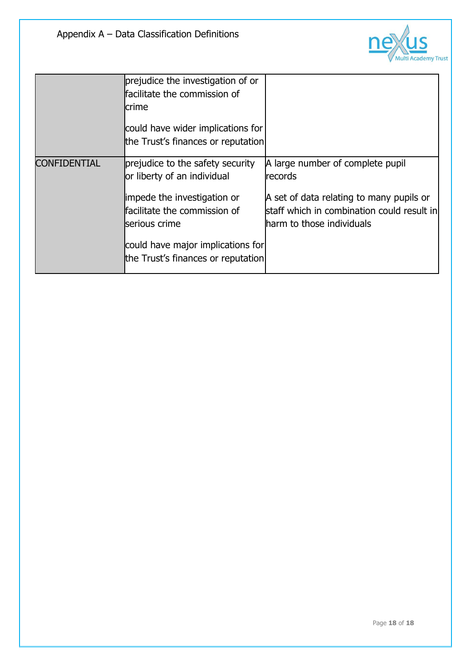

|              | prejudice the investigation of or<br>facilitate the commission of<br>crime<br>could have wider implications for<br>the Trust's finances or reputation                                                                      |                                                                                                                                                                    |
|--------------|----------------------------------------------------------------------------------------------------------------------------------------------------------------------------------------------------------------------------|--------------------------------------------------------------------------------------------------------------------------------------------------------------------|
| CONFIDENTIAL | prejudice to the safety security<br>or liberty of an individual<br>impede the investigation or<br>facilitate the commission of<br>serious crime<br>could have major implications for<br>the Trust's finances or reputation | A large number of complete pupil<br>records<br>A set of data relating to many pupils or<br>staff which in combination could result in<br>harm to those individuals |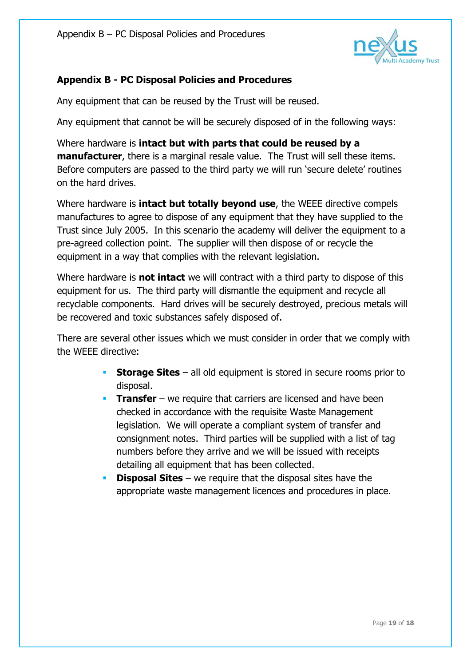

### **Appendix B - PC Disposal Policies and Procedures**

Any equipment that can be reused by the Trust will be reused.

Any equipment that cannot be will be securely disposed of in the following ways:

Where hardware is **intact but with parts that could be reused by a manufacturer**, there is a marginal resale value. The Trust will sell these items. Before computers are passed to the third party we will run 'secure delete' routines on the hard drives.

Where hardware is **intact but totally beyond use**, the WEEE directive compels manufactures to agree to dispose of any equipment that they have supplied to the Trust since July 2005. In this scenario the academy will deliver the equipment to a pre-agreed collection point. The supplier will then dispose of or recycle the equipment in a way that complies with the relevant legislation.

Where hardware is **not intact** we will contract with a third party to dispose of this equipment for us. The third party will dismantle the equipment and recycle all recyclable components. Hard drives will be securely destroyed, precious metals will be recovered and toxic substances safely disposed of.

There are several other issues which we must consider in order that we comply with the WEEE directive:

- **Storage Sites** all old equipment is stored in secure rooms prior to disposal.
- **Transfer** we require that carriers are licensed and have been checked in accordance with the requisite Waste Management legislation. We will operate a compliant system of transfer and consignment notes. Third parties will be supplied with a list of tag numbers before they arrive and we will be issued with receipts detailing all equipment that has been collected.
- **Disposal Sites** we require that the disposal sites have the appropriate waste management licences and procedures in place.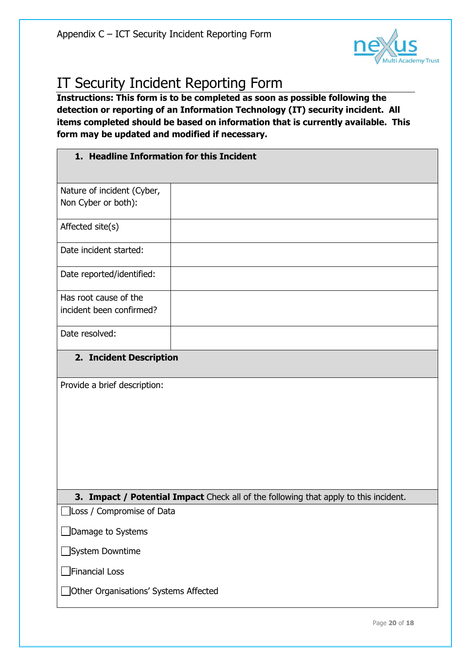

### IT Security Incident Reporting Form

**Instructions: This form is to be completed as soon as possible following the detection or reporting of an Information Technology (IT) security incident. All items completed should be based on information that is currently available. This form may be updated and modified if necessary.**

### **1. Headline Information for this Incident**

| Nature of incident (Cyber,                                                           |  |
|--------------------------------------------------------------------------------------|--|
| Non Cyber or both):                                                                  |  |
|                                                                                      |  |
| Affected site(s)                                                                     |  |
|                                                                                      |  |
| Date incident started:                                                               |  |
|                                                                                      |  |
| Date reported/identified:                                                            |  |
|                                                                                      |  |
| Has root cause of the                                                                |  |
| incident been confirmed?                                                             |  |
|                                                                                      |  |
| Date resolved:                                                                       |  |
|                                                                                      |  |
| 2. Incident Description                                                              |  |
|                                                                                      |  |
| Provide a brief description:                                                         |  |
|                                                                                      |  |
|                                                                                      |  |
|                                                                                      |  |
|                                                                                      |  |
|                                                                                      |  |
|                                                                                      |  |
|                                                                                      |  |
|                                                                                      |  |
| 3. Impact / Potential Impact Check all of the following that apply to this incident. |  |
| Loss / Compromise of Data                                                            |  |
|                                                                                      |  |
| Damage to Systems                                                                    |  |
|                                                                                      |  |
| System Downtime                                                                      |  |

Financial Loss

□ Other Organisations' Systems Affected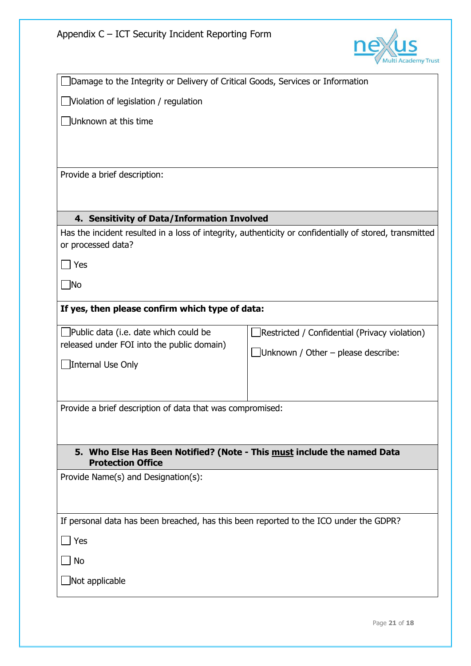

| JDamage to the Integrity or Delivery of Critical Goods, Services or Information                     |                                                                                                         |
|-----------------------------------------------------------------------------------------------------|---------------------------------------------------------------------------------------------------------|
| $\Box$ Violation of legislation / regulation                                                        |                                                                                                         |
| Unknown at this time                                                                                |                                                                                                         |
|                                                                                                     |                                                                                                         |
|                                                                                                     |                                                                                                         |
| Provide a brief description:                                                                        |                                                                                                         |
|                                                                                                     |                                                                                                         |
| 4. Sensitivity of Data/Information Involved                                                         |                                                                                                         |
|                                                                                                     | Has the incident resulted in a loss of integrity, authenticity or confidentially of stored, transmitted |
| or processed data?                                                                                  |                                                                                                         |
| Yes                                                                                                 |                                                                                                         |
| $\Box$ No                                                                                           |                                                                                                         |
| If yes, then please confirm which type of data:                                                     |                                                                                                         |
| $\Box$ Public data (i.e. date which could be                                                        | Restricted / Confidential (Privacy violation)                                                           |
| released under FOI into the public domain)                                                          | $\Box$ Unknown / Other – please describe:                                                               |
| Internal Use Only                                                                                   |                                                                                                         |
|                                                                                                     |                                                                                                         |
| Provide a brief description of data that was compromised:                                           |                                                                                                         |
|                                                                                                     |                                                                                                         |
|                                                                                                     |                                                                                                         |
| 5. Who Else Has Been Notified? (Note - This must include the named Data<br><b>Protection Office</b> |                                                                                                         |
| Provide Name(s) and Designation(s):                                                                 |                                                                                                         |
|                                                                                                     |                                                                                                         |
| If personal data has been breached, has this been reported to the ICO under the GDPR?               |                                                                                                         |
| $ $ Yes                                                                                             |                                                                                                         |
| No                                                                                                  |                                                                                                         |
| Not applicable                                                                                      |                                                                                                         |
|                                                                                                     |                                                                                                         |